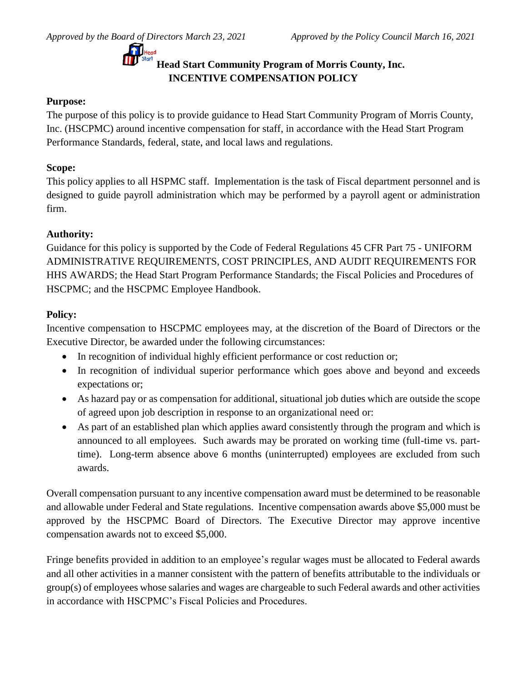

# **Head Start Community Program of Morris County, Inc. INCENTIVE COMPENSATION POLICY**

## **Purpose:**

The purpose of this policy is to provide guidance to Head Start Community Program of Morris County, Inc. (HSCPMC) around incentive compensation for staff, in accordance with the Head Start Program Performance Standards, federal, state, and local laws and regulations.

## **Scope:**

This policy applies to all HSPMC staff. Implementation is the task of Fiscal department personnel and is designed to guide payroll administration which may be performed by a payroll agent or administration firm.

## **Authority:**

Guidance for this policy is supported by the Code of Federal Regulations 45 CFR Part 75 - UNIFORM ADMINISTRATIVE REQUIREMENTS, COST PRINCIPLES, AND AUDIT REQUIREMENTS FOR HHS AWARDS; the Head Start Program Performance Standards; the Fiscal Policies and Procedures of HSCPMC; and the HSCPMC Employee Handbook.

## **Policy:**

Incentive compensation to HSCPMC employees may, at the discretion of the Board of Directors or the Executive Director, be awarded under the following circumstances:

- In recognition of individual highly efficient performance or cost reduction or;
- In recognition of individual superior performance which goes above and beyond and exceeds expectations or;
- As hazard pay or as compensation for additional, situational job duties which are outside the scope of agreed upon job description in response to an organizational need or:
- As part of an established plan which applies award consistently through the program and which is announced to all employees. Such awards may be prorated on working time (full-time vs. parttime). Long-term absence above 6 months (uninterrupted) employees are excluded from such awards.

Overall compensation pursuant to any incentive compensation award must be determined to be reasonable and allowable under Federal and State regulations. Incentive compensation awards above \$5,000 must be approved by the HSCPMC Board of Directors. The Executive Director may approve incentive compensation awards not to exceed \$5,000.

Fringe benefits provided in addition to an employee's regular wages must be allocated to Federal awards and all other activities in a manner consistent with the pattern of benefits attributable to the individuals or group(s) of employees whose salaries and wages are chargeable to such Federal awards and other activities in accordance with HSCPMC's Fiscal Policies and Procedures.